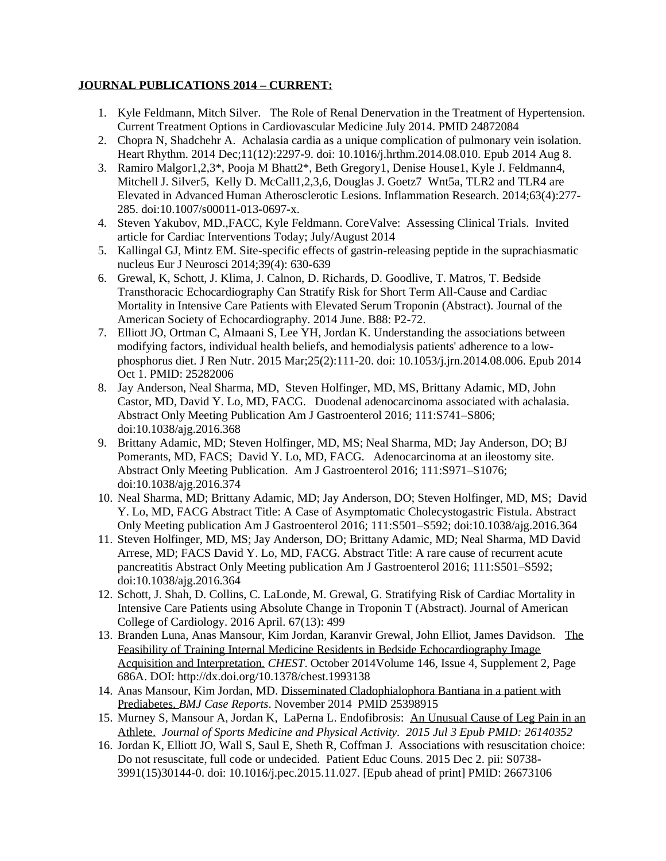## **JOURNAL PUBLICATIONS 2014 – CURRENT:**

- 1. Kyle Feldmann, Mitch Silver. The Role of Renal Denervation in the Treatment of Hypertension. Current Treatment Options in Cardiovascular Medicine July 2014. PMID 24872084
- 2. Chopra N, Shadchehr A. Achalasia cardia as a unique complication of pulmonary vein isolation. Heart Rhythm. 2014 Dec;11(12):2297-9. doi: 10.1016/j.hrthm.2014.08.010. Epub 2014 Aug 8.
- 3. Ramiro Malgor1,2,3\*, Pooja M Bhatt2\*, Beth Gregory1, Denise House1, Kyle J. Feldmann4, Mitchell J. Silver5, Kelly D. McCall1,2,3,6, Douglas J. Goetz7 Wnt5a, TLR2 and TLR4 are Elevated in Advanced Human Atherosclerotic Lesions. Inflammation Research. 2014;63(4):277- 285. doi:10.1007/s00011-013-0697-x.
- 4. Steven Yakubov, MD.,FACC, Kyle Feldmann. CoreValve: Assessing Clinical Trials. Invited article for Cardiac Interventions Today; July/August 2014
- 5. Kallingal GJ, Mintz EM. Site-specific effects of gastrin-releasing peptide in the suprachiasmatic nucleus Eur J Neurosci 2014;39(4): 630-639
- 6. Grewal, K, Schott, J. Klima, J. Calnon, D. Richards, D. Goodlive, T. Matros, T. Bedside Transthoracic Echocardiography Can Stratify Risk for Short Term All-Cause and Cardiac Mortality in Intensive Care Patients with Elevated Serum Troponin (Abstract). Journal of the American Society of Echocardiography. 2014 June. B88: P2-72.
- 7. Elliott JO, Ortman C, Almaani S, Lee YH, Jordan K. Understanding the associations between modifying factors, individual health beliefs, and hemodialysis patients' adherence to a lowphosphorus diet. J Ren Nutr. 2015 Mar;25(2):111-20. doi: 10.1053/j.jrn.2014.08.006. Epub 2014 Oct 1. PMID: 25282006
- 8. Jay Anderson, Neal Sharma, MD, Steven Holfinger, MD, MS, Brittany Adamic, MD, John Castor, MD, David Y. Lo, MD, FACG. Duodenal adenocarcinoma associated with achalasia. Abstract Only Meeting Publication Am J Gastroenterol 2016; 111:S741–S806; doi:10.1038/ajg.2016.368
- 9. Brittany Adamic, MD; Steven Holfinger, MD, MS; Neal Sharma, MD; Jay Anderson, DO; BJ Pomerants, MD, FACS; David Y. Lo, MD, FACG. Adenocarcinoma at an ileostomy site. Abstract Only Meeting Publication. Am J Gastroenterol 2016; 111:S971–S1076; doi:10.1038/ajg.2016.374
- 10. Neal Sharma, MD; Brittany Adamic, MD; Jay Anderson, DO; Steven Holfinger, MD, MS; David Y. Lo, MD, FACG Abstract Title: A Case of Asymptomatic Cholecystogastric Fistula. Abstract Only Meeting publication Am J Gastroenterol 2016; 111:S501–S592; doi:10.1038/ajg.2016.364
- 11. Steven Holfinger, MD, MS; Jay Anderson, DO; Brittany Adamic, MD; Neal Sharma, MD David Arrese, MD; FACS David Y. Lo, MD, FACG. Abstract Title: A rare cause of recurrent acute pancreatitis Abstract Only Meeting publication Am J Gastroenterol 2016; 111:S501–S592; doi:10.1038/ajg.2016.364
- 12. Schott, J. Shah, D. Collins, C. LaLonde, M. Grewal, G. Stratifying Risk of Cardiac Mortality in Intensive Care Patients using Absolute Change in Troponin T (Abstract). Journal of American College of Cardiology. 2016 April. 67(13): 499
- 13. Branden Luna, Anas Mansour, Kim Jordan, Karanvir Grewal, John Elliot, James Davidson. The Feasibility of Training Internal Medicine Residents in Bedside Echocardiography Image Acquisition and Interpretation. *CHEST*. October 2014Volume 146, Issue 4, Supplement 2, Page 686A. DOI: http://dx.doi.org/10.1378/chest.1993138
- 14. Anas Mansour, Kim Jordan, MD. Disseminated Cladophialophora Bantiana in a patient with Prediabetes. *BMJ Case Reports*. November 2014 PMID 25398915
- 15. Murney S, Mansour A, Jordan K, LaPerna L. Endofibrosis: An Unusual Cause of Leg Pain in an Athlete. *Journal of Sports Medicine and Physical Activity. 2015 Jul 3 Epub PMID: 26140352*
- 16. Jordan K, Elliott JO, Wall S, Saul E, Sheth R, Coffman J. Associations with resuscitation choice: Do not resuscitate, full code or undecided. Patient Educ Couns. 2015 Dec 2. pii: S0738- 3991(15)30144-0. doi: 10.1016/j.pec.2015.11.027. [Epub ahead of print] PMID: 26673106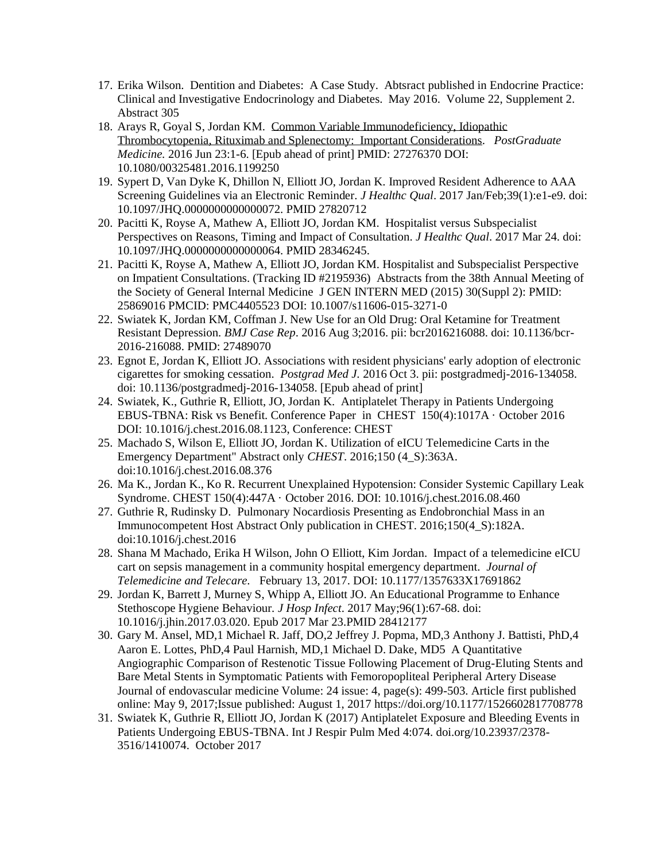- 17. Erika Wilson. Dentition and Diabetes: A Case Study. Abtsract published in Endocrine Practice: Clinical and Investigative Endocrinology and Diabetes. May 2016. Volume 22, Supplement 2. Abstract 305
- 18. Arays R, Goyal S, Jordan KM. Common Variable Immunodeficiency, Idiopathic Thrombocytopenia, Rituximab and Splenectomy: Important Considerations. *PostGraduate Medicine.* 2016 Jun 23:1-6. [Epub ahead of print] PMID: 27276370 DOI: 10.1080/00325481.2016.1199250
- 19. Sypert D, Van Dyke K, Dhillon N, Elliott JO, Jordan K. Improved Resident Adherence to AAA Screening Guidelines via an Electronic Reminder. *J Healthc Qual*. 2017 Jan/Feb;39(1):e1-e9. doi: 10.1097/JHQ.0000000000000072. PMID 27820712
- 20. Pacitti K, Royse A, Mathew A, Elliott JO, Jordan KM. Hospitalist versus Subspecialist Perspectives on Reasons, Timing and Impact of Consultation. *J Healthc Qual*. 2017 Mar 24. doi: 10.1097/JHQ.0000000000000064. PMID 28346245.
- 21. Pacitti K, Royse A, Mathew A, Elliott JO, Jordan KM. Hospitalist and Subspecialist Perspective on Impatient Consultations. (Tracking ID #2195936) Abstracts from the 38th Annual Meeting of the Society of General Internal Medicine J GEN INTERN MED (2015) 30(Suppl 2): PMID: 25869016 PMCID: PMC4405523 DOI: 10.1007/s11606-015-3271-0
- 22. Swiatek K, Jordan KM, Coffman J. New Use for an Old Drug: Oral Ketamine for Treatment Resistant Depression. *BMJ Case Rep*. 2016 Aug 3;2016. pii: bcr2016216088. doi: 10.1136/bcr-2016-216088. PMID: 27489070
- 23. Egnot E, Jordan K, Elliott JO. Associations with resident physicians' early adoption of electronic cigarettes for smoking cessation. *Postgrad Med J.* 2016 Oct 3. pii: postgradmedj-2016-134058. doi: 10.1136/postgradmedj-2016-134058. [Epub ahead of print]
- 24. Swiatek, K., Guthrie R, Elliott, JO, Jordan K. Antiplatelet Therapy in Patients Undergoing EBUS-TBNA: Risk vs Benefit. Conference Paper in CHEST 150(4):1017A · October 2016 DOI: 10.1016/j.chest.2016.08.1123, Conference: CHEST
- 25. Machado S, Wilson E, Elliott JO, Jordan K. Utilization of eICU Telemedicine Carts in the Emergency Department" Abstract only *CHEST*. 2016;150 (4\_S):363A. doi:10.1016/j.chest.2016.08.376
- 26. Ma K., Jordan K., Ko R. Recurrent Unexplained Hypotension: Consider Systemic Capillary Leak Syndrome. CHEST 150(4):447A · October 2016. DOI: 10.1016/j.chest.2016.08.460
- 27. Guthrie R, Rudinsky D. Pulmonary Nocardiosis Presenting as Endobronchial Mass in an Immunocompetent Host Abstract Only publication in CHEST. 2016;150(4\_S):182A. doi:10.1016/j.chest.2016
- 28. Shana M Machado, Erika H Wilson, John O Elliott, Kim Jordan. Impact of a telemedicine eICU cart on sepsis management in a community hospital emergency department. *Journal of Telemedicine and Telecare.* February 13, 2017. DOI: 10.1177/1357633X17691862
- 29. Jordan K, Barrett J, Murney S, Whipp A, Elliott JO. An Educational Programme to Enhance Stethoscope Hygiene Behaviour*. J Hosp Infect*. 2017 May;96(1):67-68. doi: 10.1016/j.jhin.2017.03.020. Epub 2017 Mar 23.PMID 28412177
- 30. Gary M. Ansel, MD,1 Michael R. Jaff, DO,2 Jeffrey J. Popma, MD,3 Anthony J. Battisti, PhD,4 Aaron E. Lottes, PhD,4 Paul Harnish, MD,1 Michael D. Dake, MD5 A Quantitative Angiographic Comparison of Restenotic Tissue Following Placement of Drug-Eluting Stents and Bare Metal Stents in Symptomatic Patients with Femoropopliteal Peripheral Artery Disease Journal of endovascular medicine Volume: 24 issue: 4, page(s): 499-503. Article first published online: May 9, 2017;Issue published: August 1, 2017 https://doi.org/10.1177/1526602817708778
- 31. Swiatek K, Guthrie R, Elliott JO, Jordan K (2017) Antiplatelet Exposure and Bleeding Events in Patients Undergoing EBUS-TBNA. Int J Respir Pulm Med 4:074. doi.org/10.23937/2378- 3516/1410074. October 2017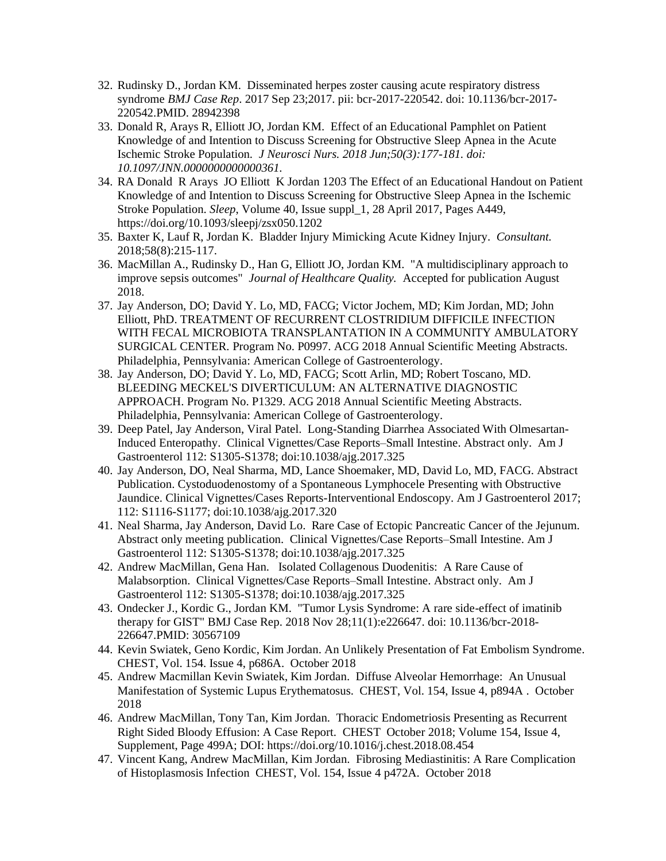- 32. Rudinsky D., Jordan KM. Disseminated herpes zoster causing acute respiratory distress syndrome *BMJ Case Rep*. 2017 Sep 23;2017. pii: bcr-2017-220542. doi: 10.1136/bcr-2017- 220542.PMID. 28942398
- 33. Donald R, Arays R, Elliott JO, Jordan KM. Effect of an Educational Pamphlet on Patient Knowledge of and Intention to Discuss Screening for Obstructive Sleep Apnea in the Acute Ischemic Stroke Population*. J Neurosci Nurs. 2018 Jun;50(3):177-181. doi: 10.1097/JNN.0000000000000361.*
- 34. RA Donald R Arays JO Elliott K Jordan 1203 The Effect of an Educational Handout on Patient Knowledge of and Intention to Discuss Screening for Obstructive Sleep Apnea in the Ischemic Stroke Population. *Sleep*, Volume 40, Issue suppl\_1, 28 April 2017, Pages A449, https://doi.org/10.1093/sleepj/zsx050.1202
- 35. Baxter K, Lauf R, Jordan K. Bladder Injury Mimicking Acute Kidney Injury. *Consultant.* 2018;58(8):215-117.
- 36. MacMillan A., Rudinsky D., Han G, Elliott JO, Jordan KM. "A multidisciplinary approach to improve sepsis outcomes" *Journal of Healthcare Quality.* Accepted for publication August 2018.
- 37. Jay Anderson, DO; David Y. Lo, MD, FACG; Victor Jochem, MD; Kim Jordan, MD; John Elliott, PhD. TREATMENT OF RECURRENT CLOSTRIDIUM DIFFICILE INFECTION WITH FECAL MICROBIOTA TRANSPLANTATION IN A COMMUNITY AMBULATORY SURGICAL CENTER. Program No. P0997. ACG 2018 Annual Scientific Meeting Abstracts. Philadelphia, Pennsylvania: American College of Gastroenterology.
- 38. Jay Anderson, DO; David Y. Lo, MD, FACG; Scott Arlin, MD; Robert Toscano, MD. BLEEDING MECKEL'S DIVERTICULUM: AN ALTERNATIVE DIAGNOSTIC APPROACH. Program No. P1329. ACG 2018 Annual Scientific Meeting Abstracts. Philadelphia, Pennsylvania: American College of Gastroenterology.
- 39. Deep Patel, Jay Anderson, Viral Patel. Long-Standing Diarrhea Associated With Olmesartan-Induced Enteropathy. Clinical Vignettes/Case Reports–Small Intestine. Abstract only. Am J Gastroenterol 112: S1305-S1378; doi:10.1038/ajg.2017.325
- 40. Jay Anderson, DO, Neal Sharma, MD, Lance Shoemaker, MD, David Lo, MD, FACG. Abstract Publication. Cystoduodenostomy of a Spontaneous Lymphocele Presenting with Obstructive Jaundice. Clinical Vignettes/Cases Reports-Interventional Endoscopy. Am J Gastroenterol 2017; 112: S1116-S1177; doi:10.1038/ajg.2017.320
- 41. Neal Sharma, Jay Anderson, David Lo. Rare Case of Ectopic Pancreatic Cancer of the Jejunum. Abstract only meeting publication. Clinical Vignettes/Case Reports–Small Intestine. Am J Gastroenterol 112: S1305-S1378; doi:10.1038/ajg.2017.325
- 42. Andrew MacMillan, Gena Han. Isolated Collagenous Duodenitis: A Rare Cause of Malabsorption. Clinical Vignettes/Case Reports–Small Intestine. Abstract only. Am J Gastroenterol 112: S1305-S1378; doi:10.1038/ajg.2017.325
- 43. Ondecker J., Kordic G., Jordan KM. "Tumor Lysis Syndrome: A rare side-effect of imatinib therapy for GIST" BMJ Case Rep. 2018 Nov 28;11(1):e226647. doi: 10.1136/bcr-2018- 226647.PMID: 30567109
- 44. Kevin Swiatek, Geno Kordic, Kim Jordan. An Unlikely Presentation of Fat Embolism Syndrome. CHEST, Vol. 154. Issue 4, p686A. October 2018
- 45. Andrew Macmillan Kevin Swiatek, Kim Jordan. Diffuse Alveolar Hemorrhage: An Unusual Manifestation of Systemic Lupus Erythematosus. CHEST, Vol. 154, Issue 4, p894A . October 2018
- 46. Andrew MacMillan, Tony Tan, Kim Jordan. Thoracic Endometriosis Presenting as Recurrent Right Sided Bloody Effusion: A Case Report. CHEST October 2018; Volume 154, Issue 4, Supplement, Page 499A; DOI: https://doi.org/10.1016/j.chest.2018.08.454
- 47. Vincent Kang, Andrew MacMillan, Kim Jordan. Fibrosing Mediastinitis: A Rare Complication of Histoplasmosis Infection CHEST, Vol. 154, Issue 4 p472A. October 2018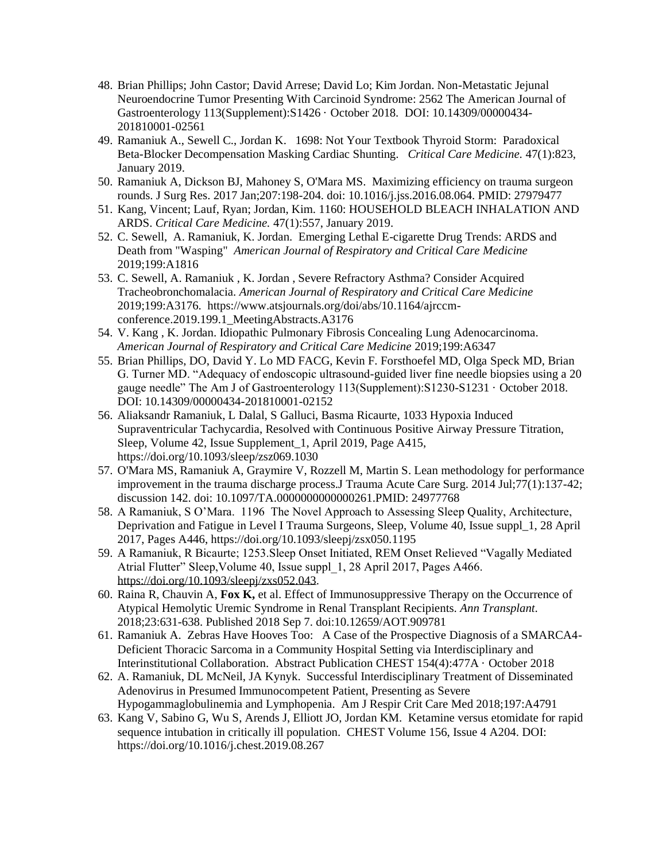- 48. Brian Phillips; John Castor; David Arrese; David Lo; Kim Jordan. Non-Metastatic Jejunal Neuroendocrine Tumor Presenting With Carcinoid Syndrome: 2562 The American Journal of Gastroenterology 113(Supplement):S1426 · October 2018. DOI: 10.14309/00000434- 201810001-02561
- 49. Ramaniuk A., Sewell C., Jordan K. 1698: Not Your Textbook Thyroid Storm: Paradoxical Beta-Blocker Decompensation Masking Cardiac Shunting. *Critical Care Medicine.* 47(1):823, January 2019.
- 50. Ramaniuk A, Dickson BJ, Mahoney S, O'Mara MS. Maximizing efficiency on trauma surgeon rounds. J Surg Res. 2017 Jan;207:198-204. doi: 10.1016/j.jss.2016.08.064. PMID: 27979477
- 51. Kang, Vincent; Lauf, Ryan; Jordan, Kim. 1160: HOUSEHOLD BLEACH INHALATION AND ARDS. *Critical Care Medicine.* 47(1):557, January 2019.
- 52. C. Sewell, A. Ramaniuk, K. Jordan. Emerging Lethal E-cigarette Drug Trends: ARDS and Death from "Wasping" *American Journal of Respiratory and Critical Care Medicine* 2019;199:A1816
- 53. C. Sewell, A. Ramaniuk , K. Jordan , Severe Refractory Asthma? Consider Acquired Tracheobronchomalacia. *American Journal of Respiratory and Critical Care Medicine* 2019;199:A3176. https://www.atsjournals.org/doi/abs/10.1164/ajrccmconference.2019.199.1 MeetingAbstracts.A3176
- 54. V. Kang , K. Jordan. Idiopathic Pulmonary Fibrosis Concealing Lung Adenocarcinoma. *American Journal of Respiratory and Critical Care Medicine* 2019;199:A6347
- 55. Brian Phillips, DO, David Y. Lo MD FACG, Kevin F. Forsthoefel MD, Olga Speck MD, Brian G. Turner MD. "Adequacy of endoscopic ultrasound-guided liver fine needle biopsies using a 20 gauge needle" The Am J of Gastroenterology 113(Supplement):S1230-S1231 · October 2018. DOI: 10.14309/00000434-201810001-02152
- 56. Aliaksandr Ramaniuk, L Dalal, S Galluci, Basma Ricaurte, 1033 Hypoxia Induced Supraventricular Tachycardia, Resolved with Continuous Positive Airway Pressure Titration, Sleep, Volume 42, Issue Supplement\_1, April 2019, Page A415, https://doi.org/10.1093/sleep/zsz069.1030
- 57. O'Mara MS, Ramaniuk A, Graymire V, Rozzell M, Martin S. Lean methodology for performance improvement in the trauma discharge process.J Trauma Acute Care Surg. 2014 Jul;77(1):137-42; discussion 142. doi: 10.1097/TA.0000000000000261.PMID: 24977768
- 58. A Ramaniuk, S O'Mara. 1196 The Novel Approach to Assessing Sleep Quality, Architecture, Deprivation and Fatigue in Level I Trauma Surgeons, Sleep, Volume 40, Issue suppl\_1, 28 April 2017, Pages A446, https://doi.org/10.1093/sleepj/zsx050.1195
- 59. A Ramaniuk, R Bicaurte; 1253.Sleep Onset Initiated, REM Onset Relieved "Vagally Mediated Atrial Flutter" Sleep, Volume 40, Issue suppl 1, 28 April 2017, Pages A466. [https://doi.org/10.1093/sleepj/zxs052.043.](https://doi.org/10.1093/sleepj/zxs052.043)
- 60. Raina R, Chauvin A, **Fox K,** et al. Effect of Immunosuppressive Therapy on the Occurrence of Atypical Hemolytic Uremic Syndrome in Renal Transplant Recipients. *Ann Transplant*. 2018;23:631-638. Published 2018 Sep 7. doi:10.12659/AOT.909781
- 61. Ramaniuk A. Zebras Have Hooves Too: A Case of the Prospective Diagnosis of a SMARCA4- Deficient Thoracic Sarcoma in a Community Hospital Setting via Interdisciplinary and Interinstitutional Collaboration. Abstract Publication CHEST 154(4):477A · October 2018
- 62. A. Ramaniuk, DL McNeil, JA Kynyk. Successful Interdisciplinary Treatment of Disseminated Adenovirus in Presumed Immunocompetent Patient, Presenting as Severe Hypogammaglobulinemia and Lymphopenia. Am J Respir Crit Care Med 2018;197:A4791
- 63. Kang V, Sabino G, Wu S, Arends J, Elliott JO, Jordan KM. Ketamine versus etomidate for rapid sequence intubation in critically ill population. CHEST Volume 156, Issue 4 A204. DOI: https://doi.org/10.1016/j.chest.2019.08.267